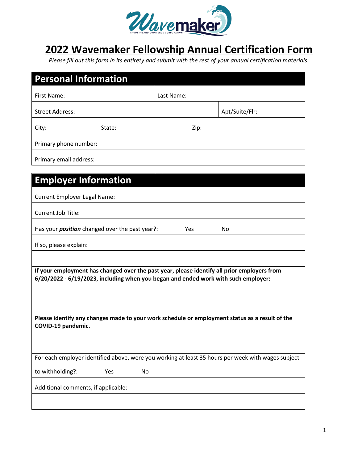

## **2022 Wavemaker Fellowship Annual Certification Form**

*Please fill out this form in its entirety and submit with the rest of your annual certification materials.* 

| <b>Personal Information</b>                                                                                                                                                       |           |            |      |                |  |  |  |  |
|-----------------------------------------------------------------------------------------------------------------------------------------------------------------------------------|-----------|------------|------|----------------|--|--|--|--|
| First Name:                                                                                                                                                                       |           | Last Name: |      |                |  |  |  |  |
| <b>Street Address:</b>                                                                                                                                                            |           |            |      | Apt/Suite/Flr: |  |  |  |  |
| City:                                                                                                                                                                             | State:    |            | Zip: |                |  |  |  |  |
| Primary phone number:                                                                                                                                                             |           |            |      |                |  |  |  |  |
| Primary email address:                                                                                                                                                            |           |            |      |                |  |  |  |  |
|                                                                                                                                                                                   |           |            |      |                |  |  |  |  |
| <b>Employer Information</b>                                                                                                                                                       |           |            |      |                |  |  |  |  |
| <b>Current Employer Legal Name:</b>                                                                                                                                               |           |            |      |                |  |  |  |  |
| Current Job Title:                                                                                                                                                                |           |            |      |                |  |  |  |  |
| Has your <i>position</i> changed over the past year?:<br>Yes<br>No                                                                                                                |           |            |      |                |  |  |  |  |
| If so, please explain:                                                                                                                                                            |           |            |      |                |  |  |  |  |
|                                                                                                                                                                                   |           |            |      |                |  |  |  |  |
| If your employment has changed over the past year, please identify all prior employers from<br>6/20/2022 - 6/19/2023, including when you began and ended work with such employer: |           |            |      |                |  |  |  |  |
|                                                                                                                                                                                   |           |            |      |                |  |  |  |  |
|                                                                                                                                                                                   |           |            |      |                |  |  |  |  |
| Please identify any changes made to your work schedule or employment status as a result of the<br>COVID-19 pandemic.                                                              |           |            |      |                |  |  |  |  |
|                                                                                                                                                                                   |           |            |      |                |  |  |  |  |
| For each employer identified above, were you working at least 35 hours per week with wages subject                                                                                |           |            |      |                |  |  |  |  |
| to withholding?:                                                                                                                                                                  | No<br>Yes |            |      |                |  |  |  |  |
| Additional comments, if applicable:                                                                                                                                               |           |            |      |                |  |  |  |  |
|                                                                                                                                                                                   |           |            |      |                |  |  |  |  |
|                                                                                                                                                                                   |           |            |      |                |  |  |  |  |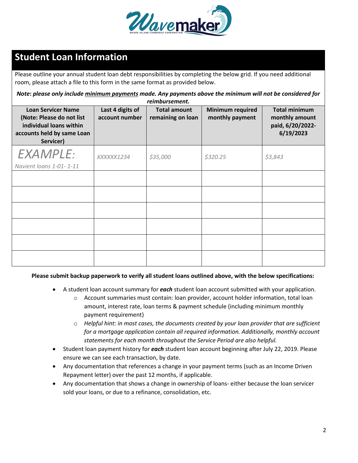

## **Student Loan Information**

Please outline your annual student loan debt responsibilities by completing the below grid. If you need additional room, please attach a file to this form in the same format as provided below.

*Note***:** *please only include minimum payments made. Any payments above the minimum will not be considered for reimbursement.*

| <b>Loan Servicer Name</b><br>(Note: Please do not list<br>individual loans within<br>accounts held by same Loan<br>Servicer) | Last 4 digits of<br>account number | <b>Total amount</b><br>remaining on loan | <b>Minimum required</b><br>monthly payment | <b>Total minimum</b><br>monthly amount<br>paid, 6/20/2022-<br>6/19/2023 |
|------------------------------------------------------------------------------------------------------------------------------|------------------------------------|------------------------------------------|--------------------------------------------|-------------------------------------------------------------------------|
| <b>EXAMPLE:</b><br>Navient loans 1-01-1-11                                                                                   | XXXXX1234                          | \$35,000                                 | \$320.25                                   | \$3,843                                                                 |
|                                                                                                                              |                                    |                                          |                                            |                                                                         |
|                                                                                                                              |                                    |                                          |                                            |                                                                         |
|                                                                                                                              |                                    |                                          |                                            |                                                                         |
|                                                                                                                              |                                    |                                          |                                            |                                                                         |
|                                                                                                                              |                                    |                                          |                                            |                                                                         |
|                                                                                                                              |                                    |                                          |                                            |                                                                         |

## **Please submit backup paperwork to verify all student loans outlined above, with the below specifications:**

- A student loan account summary for *each* student loan account submitted with your application.
	- o Account summaries must contain: loan provider, account holder information, total loan amount, interest rate, loan terms & payment schedule (including minimum monthly payment requirement)
	- o *Helpful hint: in most cases, the documents created by your loan provider that are sufficient for a mortgage application contain all required information. Additionally, monthly account statements for each month throughout the Service Period are also helpful.*
- Student loan payment history for *each* student loan account beginning after July 22, 2019. Please ensure we can see each transaction, by date.
- Any documentation that references a change in your payment terms (such as an Income Driven Repayment letter) over the past 12 months, if applicable.
- Any documentation that shows a change in ownership of loans- either because the loan servicer sold your loans, or due to a refinance, consolidation, etc.